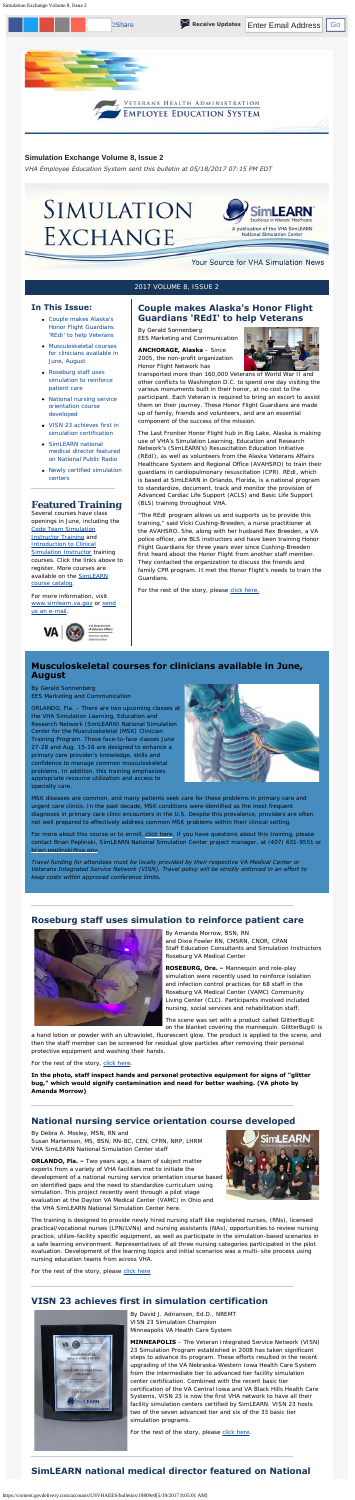Simulation Exchange Volume 8, Issue 2

#### **Simulation Exchange Volume 8, Issue 2**

*VHA Employee Education System sent this bulletin at 05/18/2017 07:15 PM EDT* 

# SIMULATION **EXCHANGE**



#### Your Source for VHA Simulation News

#### 2017 VOLUME 8, ISSUE 2

#### **In This Issue:**

- Couple makes Alaska's Honor Flight Guardians 'REdI' to help Veterans
- Musculoskeletal courses for clinicians available in June, August
- Roseburg staff uses simulation to reinforce patient care
- National nursing service orientation course developed
- VISN 23 achieves first in simulation certification
- **SimLEARN national** medical director featured on National Public Radio
- [Newly certified simulation](#page-1-0)  centers

# **Featured Training**

Several courses have class

openings in June, including the Code Team Simulation **[Instructor Training and](https://myees.lrn.va.gov/SimLEARN/Class%20Registration/Course%20Categories.aspx?category=Code%20Team)** [Introduction to Clinical](https://myees.lrn.va.gov/SimLEARN/Class%20Registration/Course%20Categories.aspx?category=Intro%20to%20Clinical%20Simulations%20(Orlando)) **Simulation Instructor training** courses. Click the links above to register. More courses are available on the **SimLEARN** course catalog.

For more information, visit [www.simlearn.va.gov](http://www.simlearn.va.gov/) or send [us an e-mail.](mailto:VASimLEARNGeneralInformation@va.gov) 



### **Couple makes Alaska's Honor Flight Guardians 'REdI' to help Veterans**

By Gerald Sonnenberg EES Marketing and Communication

**ANCHORAGE, Alaska** – Since 2005, the non-profit organization Honor Flight Network has



transported more than 160,000 Veterans of World War II and other conflicts to Washington D.C. to spend one day visiting the various monuments built in their honor, at no cost to the participant. Each Veteran is required to bring an escort to assist them on their journey. These Honor Flight Guardians are made up of family, friends and volunteers, and are an essential component of the success of the mission.

The Last Frontier Honor Flight hub in Big Lake, Alaska is making use of VHA's Simulation Learning, Education and Research Network's (SimLEARN's) Resuscitation Education Initiative (REdI), as well as volunteers from the Alaska Veterans Affairs Healthcare System and Regional Office (AVAHSRO) to train their guardians in cardiopulmonary resuscitation (CPR). REdI, which is based at SimLEARN in Orlando, Florida, is a national program to standardize, document, track and monitor the provision of Advanced Cardiac Life Support (ACLS) and Basic Life Support (BLS) training throughout VHA.

For more about this course or to enroll, [click here](https://myees.lrn.va.gov/SimLEARN/Class%20Registration/Course%20Categories.aspx?category=Musculoskeletal). If you have questions about this training, please contact Brian Peplinski, SimLEARN National Simulation Center project manager, at (407) 631-9551 or [brian.peplinski@va.gov](mailto:brian.peplinski@va.gov).

"The REdI program allows us and supports us to provide this

training," said Vicki Cushing-Breeden, a nurse practitioner at the AVAHSRO. She, along with her husband Rex Breeden, a VA police officer, are BLS instructors and have been training Honor Flight Guardians for three years ever since Cushing-Breeden first heard about the Honor Flight from another staff member. They contacted the organization to discuss the friends and family CPR program. It met the Honor Flight's needs to train the Guardians.

For the rest of the story, please [click here](https://www.simlearn.va.gov/SIMLEARN/FA_2017_05_Couple_makes_Alaskas_Honor_Flight_Guardians_REdI_to_help_Veterans.asp).

### **Musculoskeletal courses for clinicians available in June, August**

By Gerald Sonnenberg EES Marketing and Communication

**ORLANDO, Fla. –** Two years ago, a team of subject matter experts from a variety of VHA facilities met to initiate the development of a national nursing service orientation course based on identified gaps and the need to standardize curriculum using simulation. This project recently went through a pilot stage evaluation at the Dayton VA Medical Center (VAMC) in Ohio and the VHA SimLEARN National Simulation Center here.



ORLANDO, Fla. – There are two upcoming classes at the VHA Simulation Learning, Education and Research Network (SimLEARN) National Simulation Center for the Musculoskeletal (MSK) Clinician Training Program. These face-to-face classes June 27-28 and Aug. 15-16 are designed to enhance a primary care provider's knowledge, skills and confidence to manage common musculoskeletal problems. In addition, this training emphasizes appropriate resource utilization and access to specialty care.



MSK diseases are common, and many patients seek care for these problems in primary care and urgent care clinics. In the past decade, MSK conditions were identified as the most frequent diagnoses in primary care clinic encounters in the U.S. Despite this prevalence, providers are often not well prepared to effectively address common MSK problems within their clinical setting.

> simulation programs. **MINNEAPOLIS** – The Veteran Integrated Service Network (VISN) 23 Simulation Program established in 2008 has taken significant steps to advance its program. These efforts resulted in the recent upgrading of the VA Nebraska-Western Iowa Health Care System from the intermediate tier to advanced tier facility simulation center certification. Combined with the recent basic tier certification of the VA Central Iowa and VA Black Hills Health Care Systems, VISN 23 is now the first VHA network to have all their facility simulation centers certified by SimLEARN. VISN 23 hosts two of the seven advanced tier and six of the 33 basic tier

For the rest of the story, please [click here](https://www.simlearn.va.gov/SIMLEARN/FA_2017_08_VISN_23_achieves_first_in_simulation_certification.asp).



*Travel funding for attendees must be locally provided by their respective VA Medical Center or Veterans Integrated Service Network (VISN). Travel policy will be strictly enforced in an effort to keep costs within approved conference limits.* 

## **Roseburg staff uses simulation to reinforce patient care**



By Amanda Morrow, BSN, RN and Dixie Fowler RN, CMSRN, CNOR, CPAN Staff Education Consultants and Simulation Instructors Roseburg VA Medical Center

**ROSEBURG, Ore. –** Mannequin and role-play simulation were recently used to reinforce isolation and infection control practices for 68 staff in the Roseburg VA Medical Center (VAMC) Community Living Center (CLC). Participants involved included nursing, social services and rehabilitation staff.

The scene was set with a product called GlitterBug© on the blanket covering the mannequin. GlitterBug© is

a hand lotion or powder with an ultraviolet, fluorescent glow. The product is applied to the scene, and

then the staff member can be screened for residual glow particles after removing their personal protective equipment and washing their hands.

For the rest of the story, [click here](https://www.simlearn.va.gov/SIMLEARN/FA_2017_09_Roseburg_staff_uses_simulation_to_reinforce_patient_care.asp).

**In the photo, staff inspect hands and personal protective equipment for signs of "glitter bug," which would signify contamination and need for better washing. (VA photo by Amanda Morrow)** 

## **National nursing service orientation course developed**

By Debra A. Mosley, MSN, RN and Susan Martenson, MS, BSN, RN-BC, CEN, CFRN, NRP, LHRM VHA SimLEARN National Simulation Center staff

The training is designed to provide newly hired nursing staff like registered nurses, (RNs), licensed practical/vocational nurses (LPN/LVNs) and nursing assistants (NAs), opportunities to review nursing practice, utilize-facility specific equipment, as well as participate in the simulation-based scenarios in a safe learning environment. Representatives of all three nursing categories participated in the pilot evaluation. Development of the learning topics and initial scenarios was a multi–site process using nursing education teams from across VHA.

For the rest of the story, please [click here](https://www.simlearn.va.gov/SIMLEARN/FA_2017_07_National_nursing_service_orientation_course_developed.asp)

## **VISN 23 achieves first in simulation certification**



By David J. Adriansen, Ed.D., NREMT VISN 23 Simulation Champion Minneapolis VA Health Care System

# **SimLEARN national medical director featured on National**